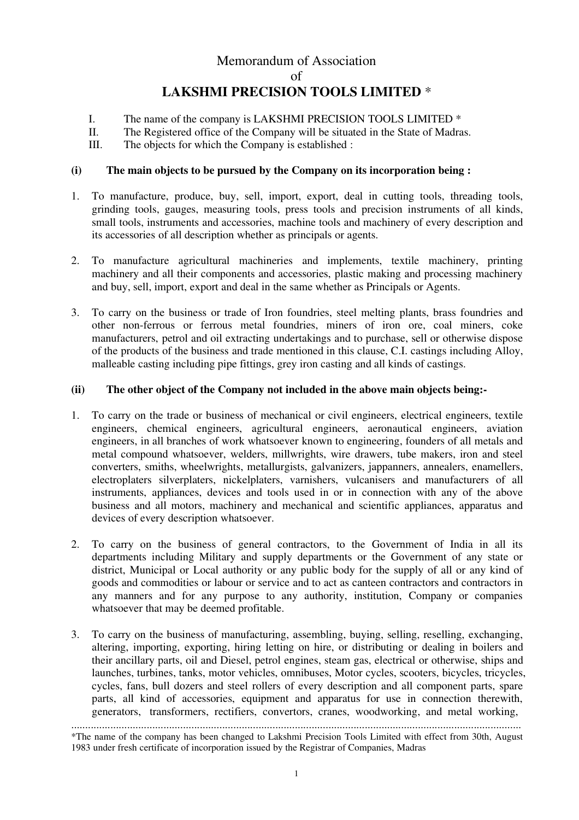# Memorandum of Association of **LAKSHMI PRECISION TOOLS LIMITED** \*

- I. The name of the company is LAKSHMI PRECISION TOOLS LIMITED \*
- II. The Registered office of the Company will be situated in the State of Madras.
- III. The objects for which the Company is established :

### **(i) The main objects to be pursued by the Company on its incorporation being :**

- 1. To manufacture, produce, buy, sell, import, export, deal in cutting tools, threading tools, grinding tools, gauges, measuring tools, press tools and precision instruments of all kinds, small tools, instruments and accessories, machine tools and machinery of every description and its accessories of all description whether as principals or agents.
- 2. To manufacture agricultural machineries and implements, textile machinery, printing machinery and all their components and accessories, plastic making and processing machinery and buy, sell, import, export and deal in the same whether as Principals or Agents.
- 3. To carry on the business or trade of Iron foundries, steel melting plants, brass foundries and other non-ferrous or ferrous metal foundries, miners of iron ore, coal miners, coke manufacturers, petrol and oil extracting undertakings and to purchase, sell or otherwise dispose of the products of the business and trade mentioned in this clause, C.I. castings including Alloy, malleable casting including pipe fittings, grey iron casting and all kinds of castings.

#### **(ii) The other object of the Company not included in the above main objects being:-**

- 1. To carry on the trade or business of mechanical or civil engineers, electrical engineers, textile engineers, chemical engineers, agricultural engineers, aeronautical engineers, aviation engineers, in all branches of work whatsoever known to engineering, founders of all metals and metal compound whatsoever, welders, millwrights, wire drawers, tube makers, iron and steel converters, smiths, wheelwrights, metallurgists, galvanizers, jappanners, annealers, enamellers, electroplaters silverplaters, nickelplaters, varnishers, vulcanisers and manufacturers of all instruments, appliances, devices and tools used in or in connection with any of the above business and all motors, machinery and mechanical and scientific appliances, apparatus and devices of every description whatsoever.
- 2. To carry on the business of general contractors, to the Government of India in all its departments including Military and supply departments or the Government of any state or district, Municipal or Local authority or any public body for the supply of all or any kind of goods and commodities or labour or service and to act as canteen contractors and contractors in any manners and for any purpose to any authority, institution, Company or companies whatsoever that may be deemed profitable.
- 3. To carry on the business of manufacturing, assembling, buying, selling, reselling, exchanging, altering, importing, exporting, hiring letting on hire, or distributing or dealing in boilers and their ancillary parts, oil and Diesel, petrol engines, steam gas, electrical or otherwise, ships and launches, turbines, tanks, motor vehicles, omnibuses, Motor cycles, scooters, bicycles, tricycles, cycles, fans, bull dozers and steel rollers of every description and all component parts, spare parts, all kind of accessories, equipment and apparatus for use in connection therewith, generators, transformers, rectifiers, convertors, cranes, woodworking, and metal working,

<sup>.................................................................................................................................................................</sup>

<sup>\*</sup>The name of the company has been changed to Lakshmi Precision Tools Limited with effect from 30th, August 1983 under fresh certificate of incorporation issued by the Registrar of Companies, Madras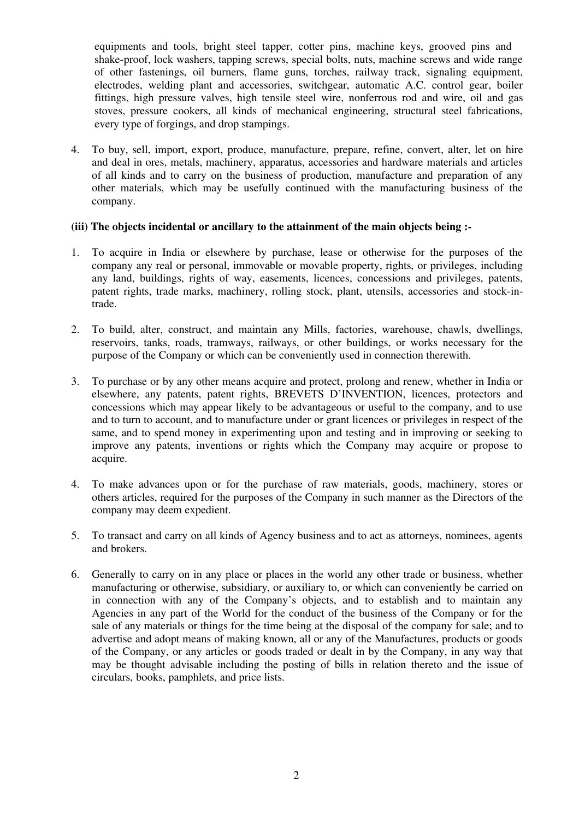equipments and tools, bright steel tapper, cotter pins, machine keys, grooved pins and shake-proof, lock washers, tapping screws, special bolts, nuts, machine screws and wide range of other fastenings, oil burners, flame guns, torches, railway track, signaling equipment, electrodes, welding plant and accessories, switchgear, automatic A.C. control gear, boiler fittings, high pressure valves, high tensile steel wire, nonferrous rod and wire, oil and gas stoves, pressure cookers, all kinds of mechanical engineering, structural steel fabrications, every type of forgings, and drop stampings.

4. To buy, sell, import, export, produce, manufacture, prepare, refine, convert, alter, let on hire and deal in ores, metals, machinery, apparatus, accessories and hardware materials and articles of all kinds and to carry on the business of production, manufacture and preparation of any other materials, which may be usefully continued with the manufacturing business of the company.

#### **(iii) The objects incidental or ancillary to the attainment of the main objects being :-**

- 1. To acquire in India or elsewhere by purchase, lease or otherwise for the purposes of the company any real or personal, immovable or movable property, rights, or privileges, including any land, buildings, rights of way, easements, licences, concessions and privileges, patents, patent rights, trade marks, machinery, rolling stock, plant, utensils, accessories and stock-intrade.
- 2. To build, alter, construct, and maintain any Mills, factories, warehouse, chawls, dwellings, reservoirs, tanks, roads, tramways, railways, or other buildings, or works necessary for the purpose of the Company or which can be conveniently used in connection therewith.
- 3. To purchase or by any other means acquire and protect, prolong and renew, whether in India or elsewhere, any patents, patent rights, BREVETS D'INVENTION, licences, protectors and concessions which may appear likely to be advantageous or useful to the company, and to use and to turn to account, and to manufacture under or grant licences or privileges in respect of the same, and to spend money in experimenting upon and testing and in improving or seeking to improve any patents, inventions or rights which the Company may acquire or propose to acquire.
- 4. To make advances upon or for the purchase of raw materials, goods, machinery, stores or others articles, required for the purposes of the Company in such manner as the Directors of the company may deem expedient.
- 5. To transact and carry on all kinds of Agency business and to act as attorneys, nominees, agents and brokers.
- 6. Generally to carry on in any place or places in the world any other trade or business, whether manufacturing or otherwise, subsidiary, or auxiliary to, or which can conveniently be carried on in connection with any of the Company's objects, and to establish and to maintain any Agencies in any part of the World for the conduct of the business of the Company or for the sale of any materials or things for the time being at the disposal of the company for sale; and to advertise and adopt means of making known, all or any of the Manufactures, products or goods of the Company, or any articles or goods traded or dealt in by the Company, in any way that may be thought advisable including the posting of bills in relation thereto and the issue of circulars, books, pamphlets, and price lists.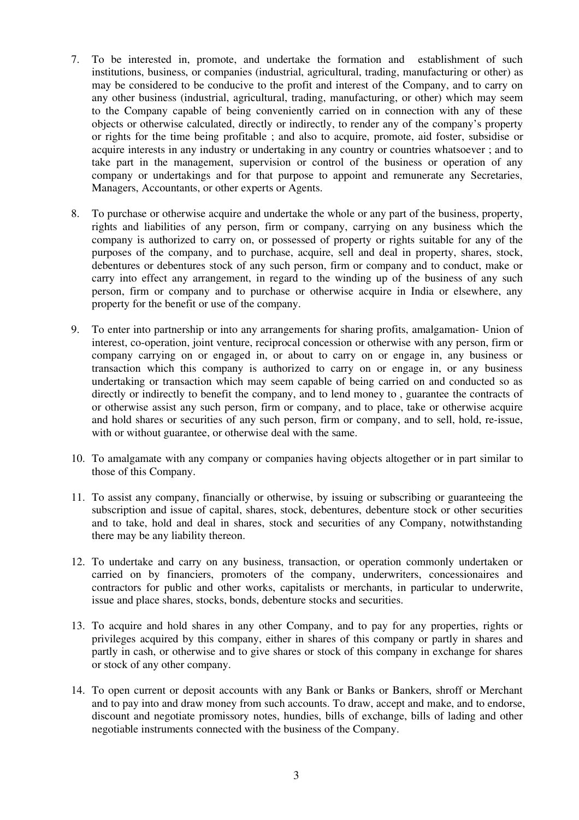- 7. To be interested in, promote, and undertake the formation and establishment of such institutions, business, or companies (industrial, agricultural, trading, manufacturing or other) as may be considered to be conducive to the profit and interest of the Company, and to carry on any other business (industrial, agricultural, trading, manufacturing, or other) which may seem to the Company capable of being conveniently carried on in connection with any of these objects or otherwise calculated, directly or indirectly, to render any of the company's property or rights for the time being profitable ; and also to acquire, promote, aid foster, subsidise or acquire interests in any industry or undertaking in any country or countries whatsoever ; and to take part in the management, supervision or control of the business or operation of any company or undertakings and for that purpose to appoint and remunerate any Secretaries, Managers, Accountants, or other experts or Agents.
- 8. To purchase or otherwise acquire and undertake the whole or any part of the business, property, rights and liabilities of any person, firm or company, carrying on any business which the company is authorized to carry on, or possessed of property or rights suitable for any of the purposes of the company, and to purchase, acquire, sell and deal in property, shares, stock, debentures or debentures stock of any such person, firm or company and to conduct, make or carry into effect any arrangement, in regard to the winding up of the business of any such person, firm or company and to purchase or otherwise acquire in India or elsewhere, any property for the benefit or use of the company.
- 9. To enter into partnership or into any arrangements for sharing profits, amalgamation- Union of interest, co-operation, joint venture, reciprocal concession or otherwise with any person, firm or company carrying on or engaged in, or about to carry on or engage in, any business or transaction which this company is authorized to carry on or engage in, or any business undertaking or transaction which may seem capable of being carried on and conducted so as directly or indirectly to benefit the company, and to lend money to , guarantee the contracts of or otherwise assist any such person, firm or company, and to place, take or otherwise acquire and hold shares or securities of any such person, firm or company, and to sell, hold, re-issue, with or without guarantee, or otherwise deal with the same.
- 10. To amalgamate with any company or companies having objects altogether or in part similar to those of this Company.
- 11. To assist any company, financially or otherwise, by issuing or subscribing or guaranteeing the subscription and issue of capital, shares, stock, debentures, debenture stock or other securities and to take, hold and deal in shares, stock and securities of any Company, notwithstanding there may be any liability thereon.
- 12. To undertake and carry on any business, transaction, or operation commonly undertaken or carried on by financiers, promoters of the company, underwriters, concessionaires and contractors for public and other works, capitalists or merchants, in particular to underwrite, issue and place shares, stocks, bonds, debenture stocks and securities.
- 13. To acquire and hold shares in any other Company, and to pay for any properties, rights or privileges acquired by this company, either in shares of this company or partly in shares and partly in cash, or otherwise and to give shares or stock of this company in exchange for shares or stock of any other company.
- 14. To open current or deposit accounts with any Bank or Banks or Bankers, shroff or Merchant and to pay into and draw money from such accounts. To draw, accept and make, and to endorse, discount and negotiate promissory notes, hundies, bills of exchange, bills of lading and other negotiable instruments connected with the business of the Company.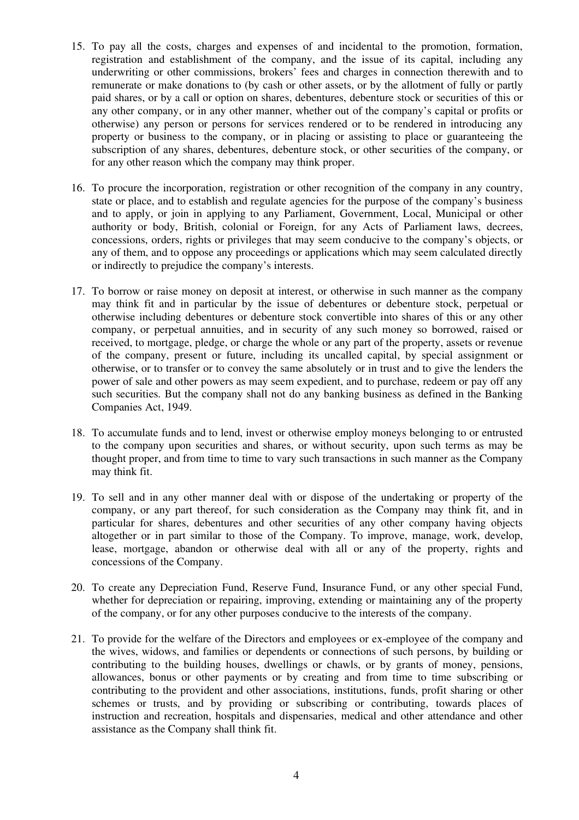- 15. To pay all the costs, charges and expenses of and incidental to the promotion, formation, registration and establishment of the company, and the issue of its capital, including any underwriting or other commissions, brokers' fees and charges in connection therewith and to remunerate or make donations to (by cash or other assets, or by the allotment of fully or partly paid shares, or by a call or option on shares, debentures, debenture stock or securities of this or any other company, or in any other manner, whether out of the company's capital or profits or otherwise) any person or persons for services rendered or to be rendered in introducing any property or business to the company, or in placing or assisting to place or guaranteeing the subscription of any shares, debentures, debenture stock, or other securities of the company, or for any other reason which the company may think proper.
- 16. To procure the incorporation, registration or other recognition of the company in any country, state or place, and to establish and regulate agencies for the purpose of the company's business and to apply, or join in applying to any Parliament, Government, Local, Municipal or other authority or body, British, colonial or Foreign, for any Acts of Parliament laws, decrees, concessions, orders, rights or privileges that may seem conducive to the company's objects, or any of them, and to oppose any proceedings or applications which may seem calculated directly or indirectly to prejudice the company's interests.
- 17. To borrow or raise money on deposit at interest, or otherwise in such manner as the company may think fit and in particular by the issue of debentures or debenture stock, perpetual or otherwise including debentures or debenture stock convertible into shares of this or any other company, or perpetual annuities, and in security of any such money so borrowed, raised or received, to mortgage, pledge, or charge the whole or any part of the property, assets or revenue of the company, present or future, including its uncalled capital, by special assignment or otherwise, or to transfer or to convey the same absolutely or in trust and to give the lenders the power of sale and other powers as may seem expedient, and to purchase, redeem or pay off any such securities. But the company shall not do any banking business as defined in the Banking Companies Act, 1949.
- 18. To accumulate funds and to lend, invest or otherwise employ moneys belonging to or entrusted to the company upon securities and shares, or without security, upon such terms as may be thought proper, and from time to time to vary such transactions in such manner as the Company may think fit.
- 19. To sell and in any other manner deal with or dispose of the undertaking or property of the company, or any part thereof, for such consideration as the Company may think fit, and in particular for shares, debentures and other securities of any other company having objects altogether or in part similar to those of the Company. To improve, manage, work, develop, lease, mortgage, abandon or otherwise deal with all or any of the property, rights and concessions of the Company.
- 20. To create any Depreciation Fund, Reserve Fund, Insurance Fund, or any other special Fund, whether for depreciation or repairing, improving, extending or maintaining any of the property of the company, or for any other purposes conducive to the interests of the company.
- 21. To provide for the welfare of the Directors and employees or ex-employee of the company and the wives, widows, and families or dependents or connections of such persons, by building or contributing to the building houses, dwellings or chawls, or by grants of money, pensions, allowances, bonus or other payments or by creating and from time to time subscribing or contributing to the provident and other associations, institutions, funds, profit sharing or other schemes or trusts, and by providing or subscribing or contributing, towards places of instruction and recreation, hospitals and dispensaries, medical and other attendance and other assistance as the Company shall think fit.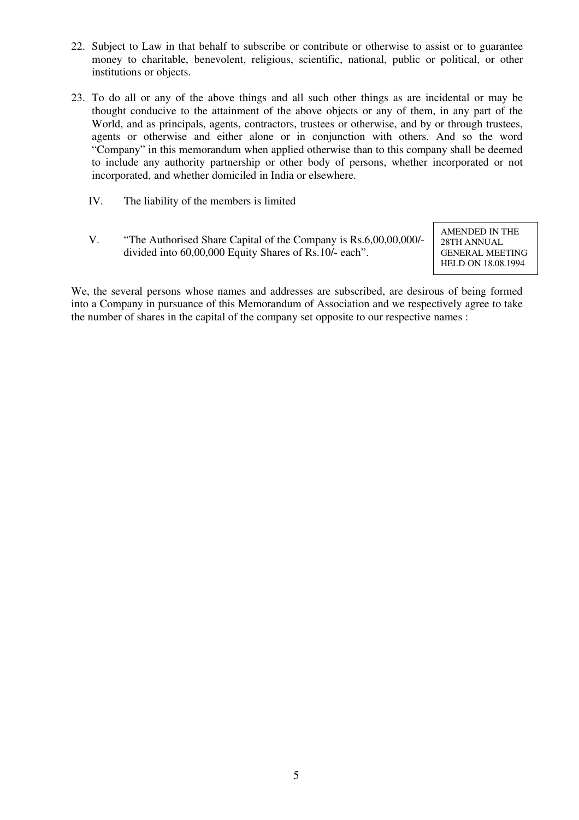- 22. Subject to Law in that behalf to subscribe or contribute or otherwise to assist or to guarantee money to charitable, benevolent, religious, scientific, national, public or political, or other institutions or objects.
- 23. To do all or any of the above things and all such other things as are incidental or may be thought conducive to the attainment of the above objects or any of them, in any part of the World, and as principals, agents, contractors, trustees or otherwise, and by or through trustees, agents or otherwise and either alone or in conjunction with others. And so the word "Company" in this memorandum when applied otherwise than to this company shall be deemed to include any authority partnership or other body of persons, whether incorporated or not incorporated, and whether domiciled in India or elsewhere.
	- IV. The liability of the members is limited
	- V. "The Authorised Share Capital of the Company is Rs.6,00,00,000/ divided into 60,00,000 Equity Shares of Rs.10/- each".

AMENDED IN THE 28TH ANNUAL GENERAL MEETING HELD ON 18.08.1994

We, the several persons whose names and addresses are subscribed, are desirous of being formed into a Company in pursuance of this Memorandum of Association and we respectively agree to take the number of shares in the capital of the company set opposite to our respective names :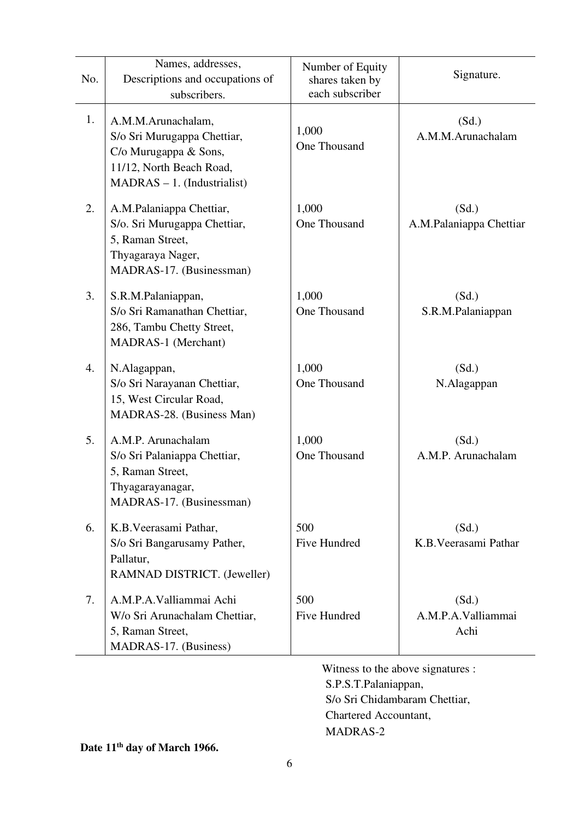| No. | Names, addresses,<br>Descriptions and occupations of<br>subscribers.                                                                    | Number of Equity<br>shares taken by<br>each subscriber | Signature.                          |
|-----|-----------------------------------------------------------------------------------------------------------------------------------------|--------------------------------------------------------|-------------------------------------|
| 1.  | A.M.M.Arunachalam,<br>S/o Sri Murugappa Chettiar,<br>C/o Murugappa & Sons,<br>11/12, North Beach Road,<br>$MADRAS - 1.$ (Industrialist) | 1,000<br>One Thousand                                  | (Sd.)<br>A.M.M.Arunachalam          |
| 2.  | A.M.Palaniappa Chettiar,<br>S/o. Sri Murugappa Chettiar,<br>5, Raman Street,<br>Thyagaraya Nager,<br>MADRAS-17. (Businessman)           | 1,000<br>One Thousand                                  | (Sd.)<br>A.M.Palaniappa Chettiar    |
| 3.  | S.R.M.Palaniappan,<br>S/o Sri Ramanathan Chettiar,<br>286, Tambu Chetty Street,<br><b>MADRAS-1</b> (Merchant)                           | 1,000<br>One Thousand                                  | (Sd.)<br>S.R.M.Palaniappan          |
| 4.  | N.Alagappan,<br>S/o Sri Narayanan Chettiar,<br>15, West Circular Road,<br>MADRAS-28. (Business Man)                                     | 1,000<br>One Thousand                                  | (Sd.)<br>N.Alagappan                |
| 5.  | A.M.P. Arunachalam<br>S/o Sri Palaniappa Chettiar,<br>5, Raman Street,<br>Thyagarayanagar,<br>MADRAS-17. (Businessman)                  | 1,000<br>One Thousand                                  | (Sd.)<br>A.M.P. Arunachalam         |
| 6.  | K.B. Veerasami Pathar,<br>S/o Sri Bangarusamy Pather,<br>Pallatur,<br>RAMNAD DISTRICT. (Jeweller)                                       | 500<br>Five Hundred                                    | (Sd.)<br>K.B. Veerasami Pathar      |
| 7.  | A.M.P.A.Valliammai Achi<br>W/o Sri Arunachalam Chettiar,<br>5, Raman Street,<br>MADRAS-17. (Business)                                   | 500<br>Five Hundred                                    | (Sd.)<br>A.M.P.A.Valliammai<br>Achi |

Witness to the above signatures : S.P.S.T.Palaniappan, S/o Sri Chidambaram Chettiar, Chartered Accountant, MADRAS-2

**Date 11th day of March 1966.**